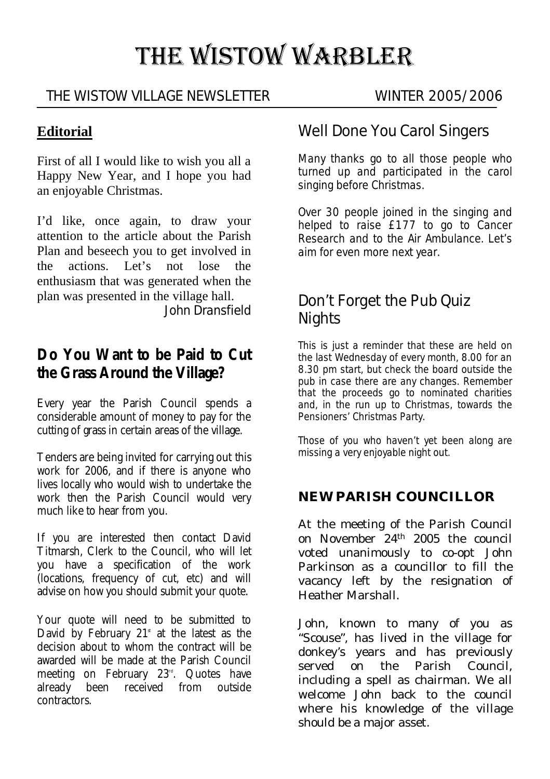# THE WISTOW WARBLER

#### THE WISTOW VILLAGE NEWSLETTER WINTER 2005/2006

### **Editorial**

First of all I would like to wish you all a Happy New Year, and I hope you had an enjoyable Christmas.

I'd like, once again, to draw your attention to the article about the Parish Plan and beseech you to get involved in the actions. Let's not lose the enthusiasm that was generated when the plan was presented in the village hall. John Dransfield

# **Do You Want to be Paid to Cut the Grass Around the Village?**

Every year the Parish Council spends a considerable amount of money to pay for the cutting of grass in certain areas of the village.

Tenders are being invited for carrying out this work for 2006, and if there is anyone who lives locally who would wish to undertake the work then the Parish Council would very much like to hear from you.

If you are interested then contact David Titmarsh, Clerk to the Council, who will let you have a specification of the work (locations, frequency of cut, etc) and will advise on how you should submit your quote.

Your quote will need to be submitted to David by February  $21<sup>*</sup>$  at the latest as the decision about to whom the contract will be awarded will be made at the Parish Council meeting on February  $23^{\circ}$ . Quotes have already been received from outside contractors.

## Well Done You Carol Singers

Many thanks go to all those people who turned up and participated in the carol singing before Christmas.

Over 30 people joined in the singing and helped to raise £177 to go to Cancer Research and to the Air Ambulance. Let's aim for even more next year.

# Don't Forget the Pub Quiz **Nights**

This is just a reminder that these are held on the last Wednesday of every month, 8.00 for an 8.30 pm start, but check the board outside the pub in case there are any changes. Remember that the proceeds go to nominated charities and, in the run up to Christmas, towards the Pensioners' Christmas Party.

Those of you who haven't yet been along are missing a very enjoyable night out.

#### **NEW PARISH COUNCILLOR**

At the meeting of the Parish Council on November 24th 2005 the council voted unanimously to co-opt John Parkinson as a councillor to fill the vacancy left by the resignation of Heather Marshall.

John, known to many of you as "Scouse", has lived in the village for donkey's years and has previously served on the Parish Council, including a spell as chairman. We all welcome John back to the council where his knowledge of the village should be a major asset.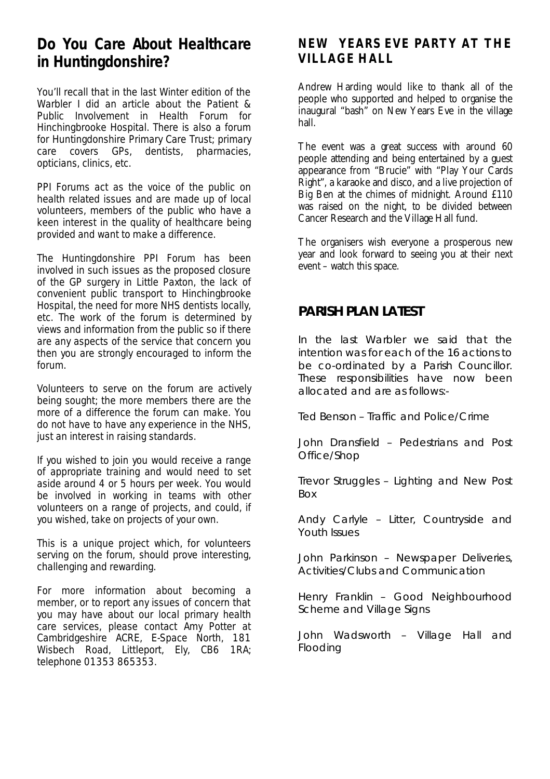# **Do You Care About Healthcare in Huntingdonshire?**

You'll recall that in the last Winter edition of the Warbler I did an article about the Patient & Public Involvement in Health Forum for Hinchingbrooke Hospital. There is also a forum for Huntingdonshire Primary Care Trust; primary care covers GPs, dentists, pharmacies, opticians, clinics, etc.

PPI Forums act as the voice of the public on health related issues and are made up of local volunteers, members of the public who have a keen interest in the quality of healthcare being provided and want to make a difference.

The Huntingdonshire PPI Forum has been involved in such issues as the proposed closure of the GP surgery in Little Paxton, the lack of convenient public transport to Hinchingbrooke Hospital, the need for more NHS dentists locally, etc. The work of the forum is determined by views and information from the public so if there are any aspects of the service that concern you then you are strongly encouraged to inform the forum.

Volunteers to serve on the forum are actively being sought; the more members there are the more of a difference the forum can make. You do not have to have any experience in the NHS, just an interest in raising standards.

If you wished to join you would receive a range of appropriate training and would need to set aside around 4 or 5 hours per week. You would be involved in working in teams with other volunteers on a range of projects, and could, if you wished, take on projects of your own.

This is a unique project which, for volunteers serving on the forum, should prove interesting, challenging and rewarding.

For more information about becoming a member, or to report any issues of concern that you may have about our local primary health care services, please contact Amy Potter at Cambridgeshire ACRE, E-Space North, 181 Wisbech Road, Littleport, Ely, CB6 1RA; telephone 01353 865353.

#### **NEW YEARS EVE PARTY AT THE VILLAGE HALL**

Andrew Harding would like to thank all of the people who supported and helped to organise the inaugural "bash" on New Years Eve in the village hall.

The event was a great success with around 60 people attending and being entertained by a guest appearance from "Brucie" with "Play Your Cards Right", a karaoke and disco, and a live projection of Big Ben at the chimes of midnight. Around £110 was raised on the night, to be divided between Cancer Research and the Village Hall fund.

The organisers wish everyone a prosperous new year and look forward to seeing you at their next event – watch this space.

#### **PARISH PLAN LATEST**

In the last Warbler we said that the intention was for each of the 16 actions to be co-ordinated by a Parish Councillor. These responsibilities have now been allocated and are as follows:-

Ted Benson – *Traffic* and *Police/Crime*

John Dransfield – *Pedestrians* and *Post Office/Shop*

Trevor Struggles – *Lighting* and *New Post Box*

Andy Carlyle – *Litter*, *Countryside* and *Youth Issues*

John Parkinson – *Newspaper Deliveries*, *Activities/Clubs* and *Communication*

Henry Franklin – *Good Neighbourhood Scheme* and *Village Signs*

John Wadsworth – *Village Hall* and *Flooding*